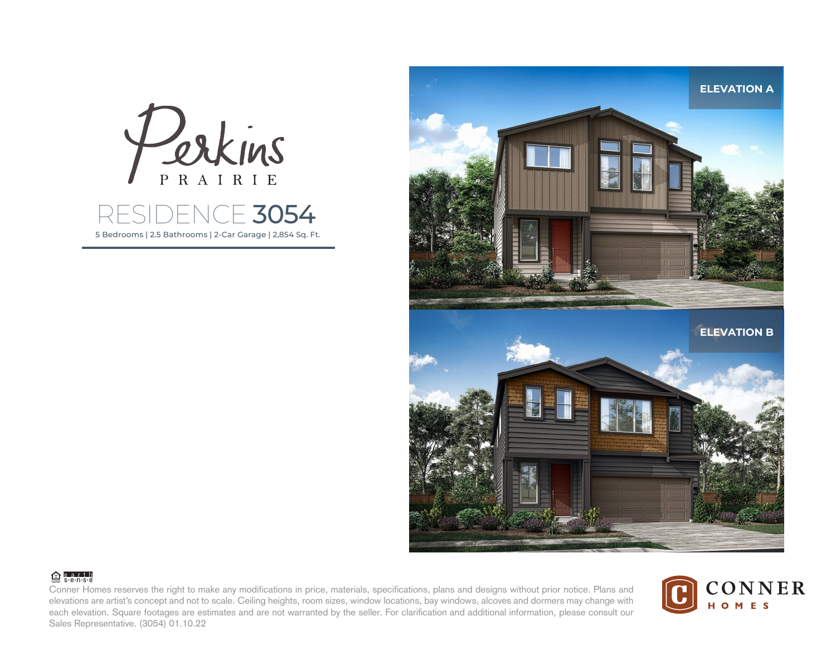

5 Bedrooms | 2.5 Bathrooms | 2-Car Garage | 2,854 Sq. Ft. RESIDENCE 3054



## **合**earth

Conner Homes reserves the right to make any modifications in price, materials, specifications, plans and designs without prior notice. Plans and elevations are artist's concept and not to scale. Ceiling heights, room sizes, window locations, bay windows, alcoves and dormers may change with each elevation. Square footages are estimates and are not warranted by the seller. For clarification and additional information, please consult our Sales Representative. (3054) 01.10.22